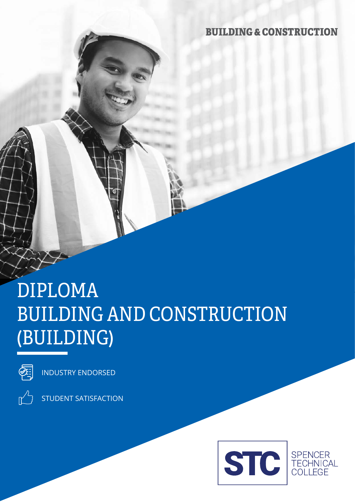### BUILDING & CONSTRUCTION

# DIPLOMA BUILDING AND CONSTRUCTION (BUILDING)



INDUSTRY ENDORSED



STUDENT SATISFACTION